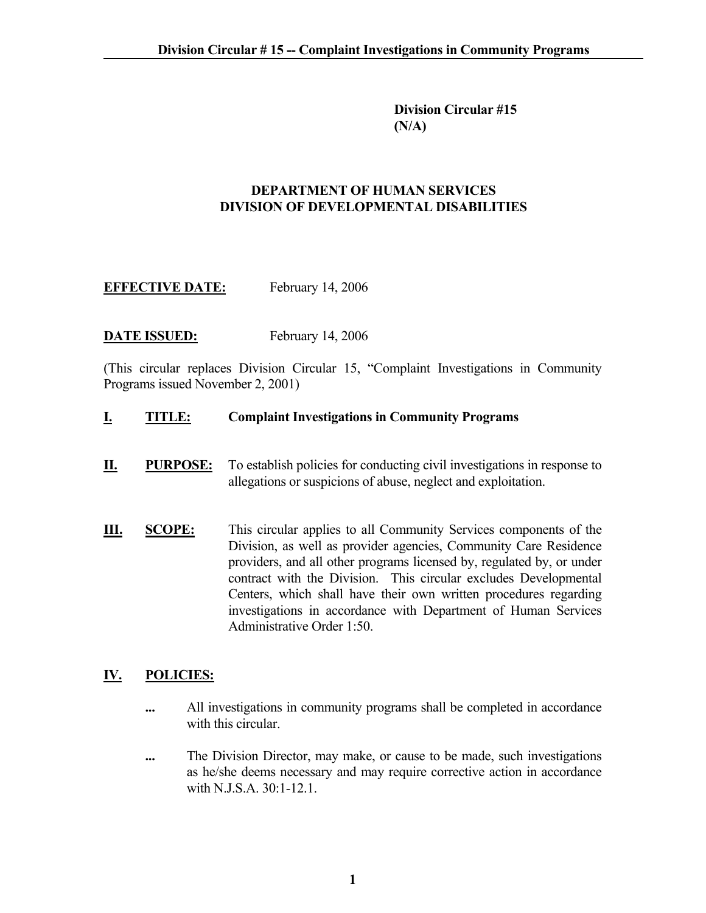**Division Circular #15 (N/A)** 

#### **DEPARTMENT OF HUMAN SERVICES DIVISION OF DEVELOPMENTAL DISABILITIES**

# **EFFECTIVE DATE:** February 14, 2006

### **DATE ISSUED:** February 14, 2006

(This circular replaces Division Circular 15, "Complaint Investigations in Community Programs issued November 2, 2001)

#### **I. TITLE: Complaint Investigations in Community Programs**

- **II. PURPOSE:** To establish policies for conducting civil investigations in response to allegations or suspicions of abuse, neglect and exploitation.
- **III. SCOPE:** This circular applies to all Community Services components of the Division, as well as provider agencies, Community Care Residence providers, and all other programs licensed by, regulated by, or under contract with the Division. This circular excludes Developmental Centers, which shall have their own written procedures regarding investigations in accordance with Department of Human Services Administrative Order 1:50.

### **IV. POLICIES:**

- **...** All investigations in community programs shall be completed in accordance with this circular.
- **...** The Division Director, may make, or cause to be made, such investigations as he/she deems necessary and may require corrective action in accordance with N.J.S.A.  $30:1-12.1$ .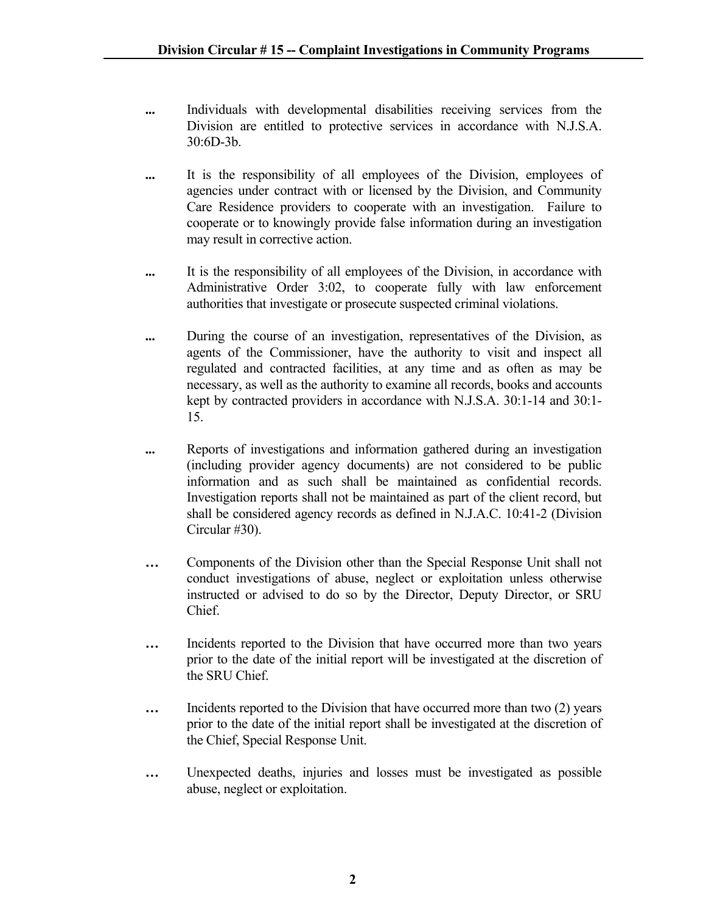- **...** Individuals with developmental disabilities receiving services from the Division are entitled to protective services in accordance with N.J.S.A. 30:6D-3b.
- **...** It is the responsibility of all employees of the Division, employees of agencies under contract with or licensed by the Division, and Community Care Residence providers to cooperate with an investigation. Failure to cooperate or to knowingly provide false information during an investigation may result in corrective action.
- **...** It is the responsibility of all employees of the Division, in accordance with Administrative Order 3:02, to cooperate fully with law enforcement authorities that investigate or prosecute suspected criminal violations.
- **...** During the course of an investigation, representatives of the Division, as agents of the Commissioner, have the authority to visit and inspect all regulated and contracted facilities, at any time and as often as may be necessary, as well as the authority to examine all records, books and accounts kept by contracted providers in accordance with N.J.S.A. 30:1-14 and 30:1- 15.
- **...** Reports of investigations and information gathered during an investigation (including provider agency documents) are not considered to be public information and as such shall be maintained as confidential records. Investigation reports shall not be maintained as part of the client record, but shall be considered agency records as defined in N.J.A.C. 10:41-2 (Division Circular #30).
- **…** Components of the Division other than the Special Response Unit shall not conduct investigations of abuse, neglect or exploitation unless otherwise instructed or advised to do so by the Director, Deputy Director, or SRU Chief.
- **…** Incidents reported to the Division that have occurred more than two years prior to the date of the initial report will be investigated at the discretion of the SRU Chief.
- **…** Incidents reported to the Division that have occurred more than two (2) years prior to the date of the initial report shall be investigated at the discretion of the Chief, Special Response Unit.
- **…** Unexpected deaths, injuries and losses must be investigated as possible abuse, neglect or exploitation.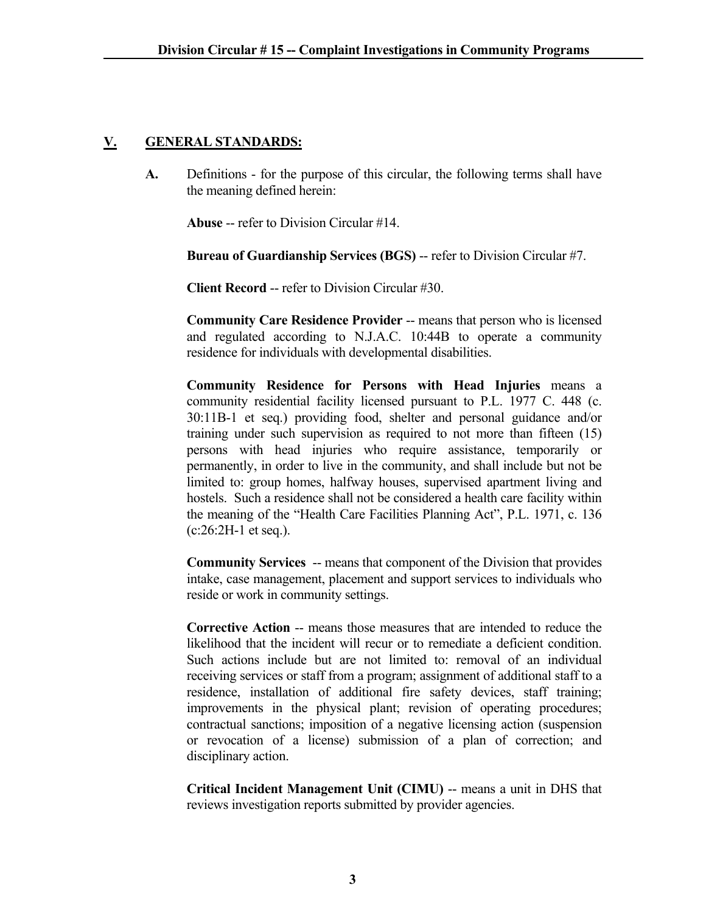### **V. GENERAL STANDARDS:**

**A.** Definitions - for the purpose of this circular, the following terms shall have the meaning defined herein:

**Abuse** -- refer to Division Circular #14.

**Bureau of Guardianship Services (BGS)** -- refer to Division Circular #7.

**Client Record** -- refer to Division Circular #30.

**Community Care Residence Provider** -- means that person who is licensed and regulated according to N.J.A.C. 10:44B to operate a community residence for individuals with developmental disabilities.

**Community Residence for Persons with Head Injuries** means a community residential facility licensed pursuant to P.L. 1977 C. 448 (c. 30:11B-1 et seq.) providing food, shelter and personal guidance and/or training under such supervision as required to not more than fifteen (15) persons with head injuries who require assistance, temporarily or permanently, in order to live in the community, and shall include but not be limited to: group homes, halfway houses, supervised apartment living and hostels. Such a residence shall not be considered a health care facility within the meaning of the "Health Care Facilities Planning Act", P.L. 1971, c. 136 (c:26:2H-1 et seq.).

**Community Services** -- means that component of the Division that provides intake, case management, placement and support services to individuals who reside or work in community settings.

**Corrective Action** -- means those measures that are intended to reduce the likelihood that the incident will recur or to remediate a deficient condition. Such actions include but are not limited to: removal of an individual receiving services or staff from a program; assignment of additional staff to a residence, installation of additional fire safety devices, staff training; improvements in the physical plant; revision of operating procedures; contractual sanctions; imposition of a negative licensing action (suspension or revocation of a license) submission of a plan of correction; and disciplinary action.

**Critical Incident Management Unit (CIMU)** -- means a unit in DHS that reviews investigation reports submitted by provider agencies.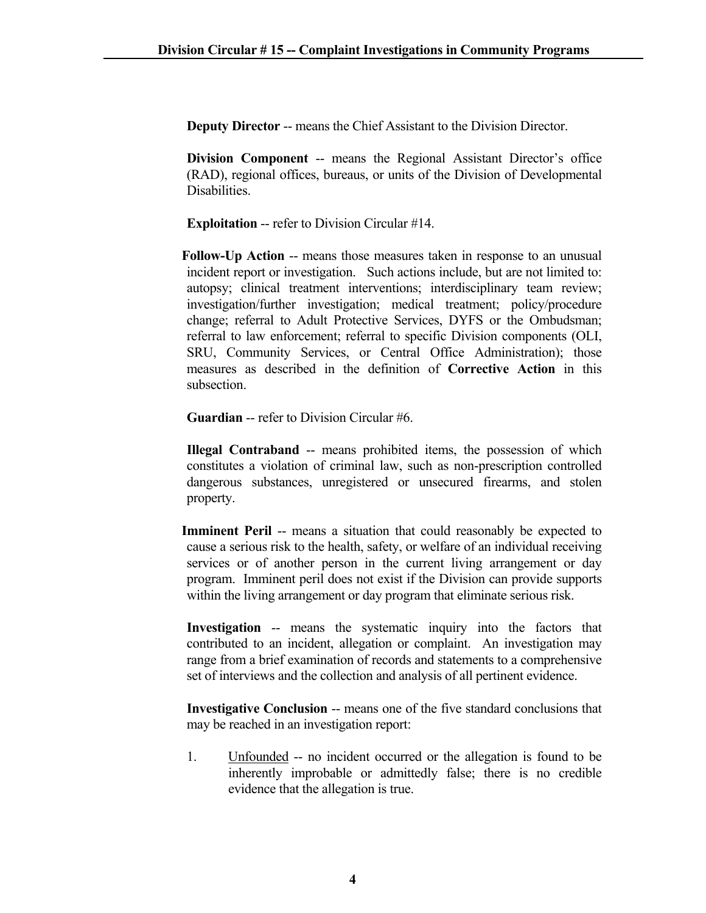**Deputy Director** -- means the Chief Assistant to the Division Director.

**Division Component** -- means the Regional Assistant Director's office (RAD), regional offices, bureaus, or units of the Division of Developmental Disabilities.

**Exploitation** -- refer to Division Circular #14.

 **Follow-Up Action** -- means those measures taken in response to an unusual incident report or investigation. Such actions include, but are not limited to: autopsy; clinical treatment interventions; interdisciplinary team review; investigation/further investigation; medical treatment; policy/procedure change; referral to Adult Protective Services, DYFS or the Ombudsman; referral to law enforcement; referral to specific Division components (OLI, SRU, Community Services, or Central Office Administration); those measures as described in the definition of **Corrective Action** in this subsection.

**Guardian** -- refer to Division Circular #6.

**Illegal Contraband** -- means prohibited items, the possession of which constitutes a violation of criminal law, such as non-prescription controlled dangerous substances, unregistered or unsecured firearms, and stolen property.

**Imminent Peril** -- means a situation that could reasonably be expected to cause a serious risk to the health, safety, or welfare of an individual receiving services or of another person in the current living arrangement or day program. Imminent peril does not exist if the Division can provide supports within the living arrangement or day program that eliminate serious risk.

**Investigation** -- means the systematic inquiry into the factors that contributed to an incident, allegation or complaint. An investigation may range from a brief examination of records and statements to a comprehensive set of interviews and the collection and analysis of all pertinent evidence.

**Investigative Conclusion** -- means one of the five standard conclusions that may be reached in an investigation report:

1. Unfounded -- no incident occurred or the allegation is found to be inherently improbable or admittedly false; there is no credible evidence that the allegation is true.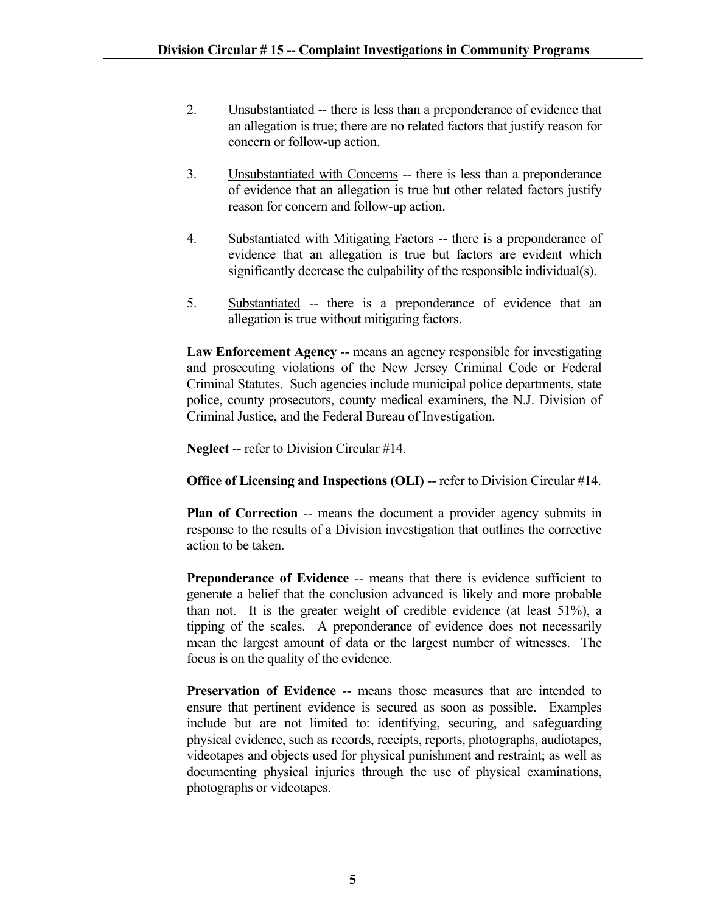- 2. Unsubstantiated -- there is less than a preponderance of evidence that an allegation is true; there are no related factors that justify reason for concern or follow-up action.
- 3. Unsubstantiated with Concerns -- there is less than a preponderance of evidence that an allegation is true but other related factors justify reason for concern and follow-up action.
- 4. Substantiated with Mitigating Factors -- there is a preponderance of evidence that an allegation is true but factors are evident which significantly decrease the culpability of the responsible individual(s).
- 5. Substantiated -- there is a preponderance of evidence that an allegation is true without mitigating factors.

Law Enforcement Agency -- means an agency responsible for investigating and prosecuting violations of the New Jersey Criminal Code or Federal Criminal Statutes. Such agencies include municipal police departments, state police, county prosecutors, county medical examiners, the N.J. Division of Criminal Justice, and the Federal Bureau of Investigation.

**Neglect** -- refer to Division Circular #14.

### **Office of Licensing and Inspections (OLI)** -- refer to Division Circular #14.

**Plan of Correction** -- means the document a provider agency submits in response to the results of a Division investigation that outlines the corrective action to be taken.

**Preponderance of Evidence --** means that there is evidence sufficient to generate a belief that the conclusion advanced is likely and more probable than not. It is the greater weight of credible evidence (at least 51%), a tipping of the scales. A preponderance of evidence does not necessarily mean the largest amount of data or the largest number of witnesses. The focus is on the quality of the evidence.

**Preservation of Evidence** -- means those measures that are intended to ensure that pertinent evidence is secured as soon as possible. Examples include but are not limited to: identifying, securing, and safeguarding physical evidence, such as records, receipts, reports, photographs, audiotapes, videotapes and objects used for physical punishment and restraint; as well as documenting physical injuries through the use of physical examinations, photographs or videotapes.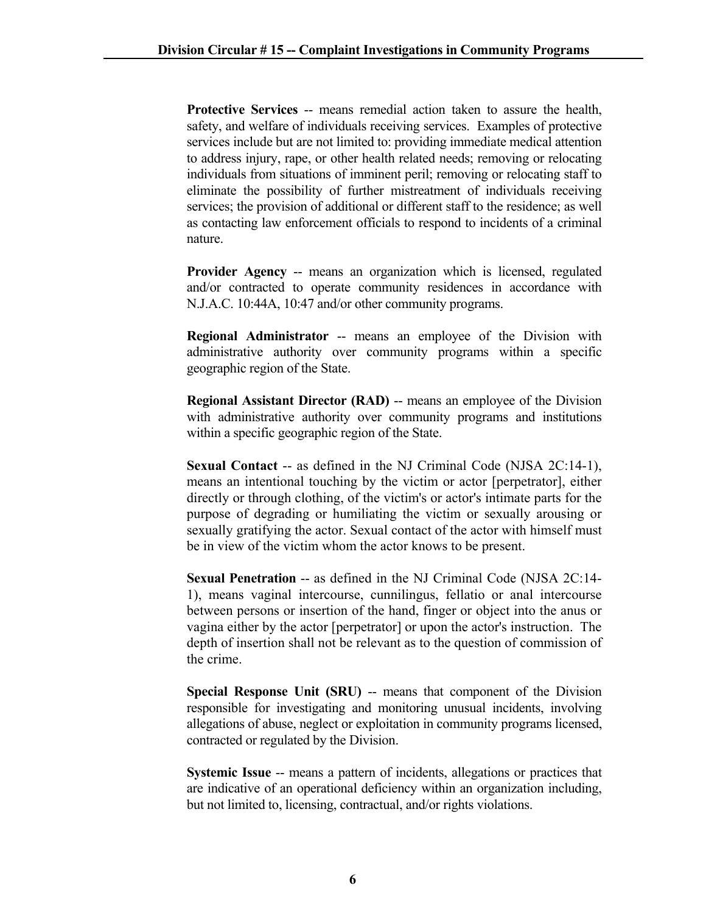**Protective Services** -- means remedial action taken to assure the health, safety, and welfare of individuals receiving services. Examples of protective services include but are not limited to: providing immediate medical attention to address injury, rape, or other health related needs; removing or relocating individuals from situations of imminent peril; removing or relocating staff to eliminate the possibility of further mistreatment of individuals receiving services; the provision of additional or different staff to the residence; as well as contacting law enforcement officials to respond to incidents of a criminal nature.

**Provider Agency** -- means an organization which is licensed, regulated and/or contracted to operate community residences in accordance with N.J.A.C. 10:44A, 10:47 and/or other community programs.

**Regional Administrator** -- means an employee of the Division with administrative authority over community programs within a specific geographic region of the State.

**Regional Assistant Director (RAD) -- means an employee of the Division** with administrative authority over community programs and institutions within a specific geographic region of the State.

**Sexual Contact** -- as defined in the NJ Criminal Code (NJSA 2C:14-1), means an intentional touching by the victim or actor [perpetrator], either directly or through clothing, of the victim's or actor's intimate parts for the purpose of degrading or humiliating the victim or sexually arousing or sexually gratifying the actor. Sexual contact of the actor with himself must be in view of the victim whom the actor knows to be present.

**Sexual Penetration** -- as defined in the NJ Criminal Code (NJSA 2C:14- 1), means vaginal intercourse, cunnilingus, fellatio or anal intercourse between persons or insertion of the hand, finger or object into the anus or vagina either by the actor [perpetrator] or upon the actor's instruction. The depth of insertion shall not be relevant as to the question of commission of the crime.

**Special Response Unit (SRU) -- means that component of the Division** responsible for investigating and monitoring unusual incidents, involving allegations of abuse, neglect or exploitation in community programs licensed, contracted or regulated by the Division.

**Systemic Issue** -- means a pattern of incidents, allegations or practices that are indicative of an operational deficiency within an organization including, but not limited to, licensing, contractual, and/or rights violations.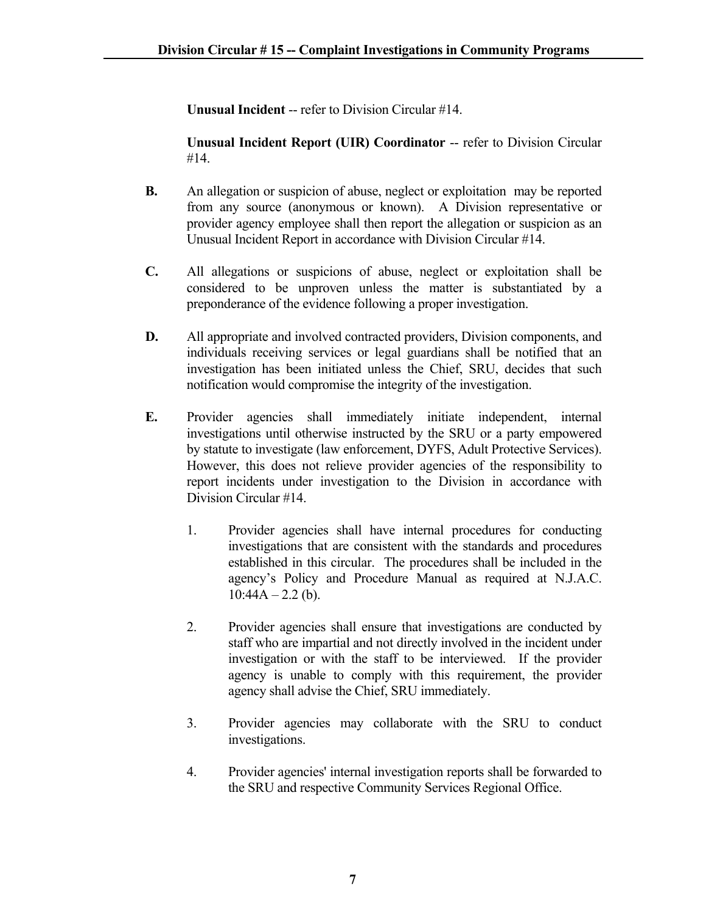**Unusual Incident** -- refer to Division Circular #14.

**Unusual Incident Report (UIR) Coordinator** -- refer to Division Circular #14.

- **B.** An allegation or suspicion of abuse, neglect or exploitation may be reported from any source (anonymous or known). A Division representative or provider agency employee shall then report the allegation or suspicion as an Unusual Incident Report in accordance with Division Circular #14.
- **C.** All allegations or suspicions of abuse, neglect or exploitation shall be considered to be unproven unless the matter is substantiated by a preponderance of the evidence following a proper investigation.
- **D.** All appropriate and involved contracted providers, Division components, and individuals receiving services or legal guardians shall be notified that an investigation has been initiated unless the Chief, SRU, decides that such notification would compromise the integrity of the investigation.
- **E.** Provider agencies shall immediately initiate independent, internal investigations until otherwise instructed by the SRU or a party empowered by statute to investigate (law enforcement, DYFS, Adult Protective Services). However, this does not relieve provider agencies of the responsibility to report incidents under investigation to the Division in accordance with Division Circular #14.
	- 1. Provider agencies shall have internal procedures for conducting investigations that are consistent with the standards and procedures established in this circular. The procedures shall be included in the agency's Policy and Procedure Manual as required at N.J.A.C.  $10:44A - 2.2$  (b).
	- 2. Provider agencies shall ensure that investigations are conducted by staff who are impartial and not directly involved in the incident under investigation or with the staff to be interviewed. If the provider agency is unable to comply with this requirement, the provider agency shall advise the Chief, SRU immediately.
	- 3. Provider agencies may collaborate with the SRU to conduct investigations.
	- 4. Provider agencies' internal investigation reports shall be forwarded to the SRU and respective Community Services Regional Office.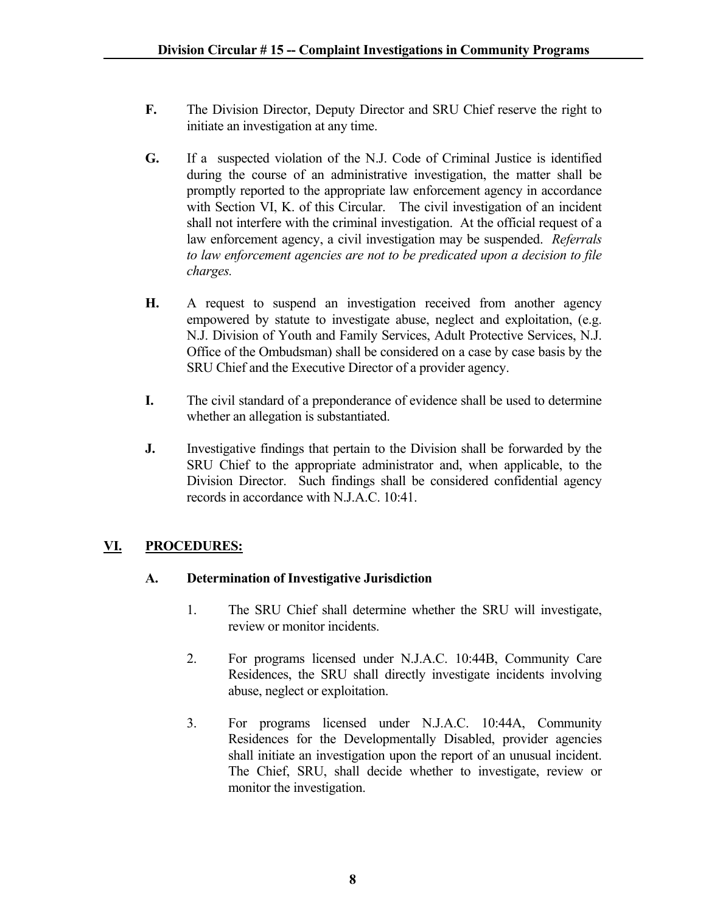- **F.** The Division Director, Deputy Director and SRU Chief reserve the right to initiate an investigation at any time.
- **G.** If a suspected violation of the N.J. Code of Criminal Justice is identified during the course of an administrative investigation, the matter shall be promptly reported to the appropriate law enforcement agency in accordance with Section VI, K. of this Circular. The civil investigation of an incident shall not interfere with the criminal investigation. At the official request of a law enforcement agency, a civil investigation may be suspended. *Referrals to law enforcement agencies are not to be predicated upon a decision to file charges.*
- **H.** A request to suspend an investigation received from another agency empowered by statute to investigate abuse, neglect and exploitation, (e.g. N.J. Division of Youth and Family Services, Adult Protective Services, N.J. Office of the Ombudsman) shall be considered on a case by case basis by the SRU Chief and the Executive Director of a provider agency.
- **I.** The civil standard of a preponderance of evidence shall be used to determine whether an allegation is substantiated.
- **J.** Investigative findings that pertain to the Division shall be forwarded by the SRU Chief to the appropriate administrator and, when applicable, to the Division Director. Such findings shall be considered confidential agency records in accordance with N.J.A.C. 10:41.

# **VI. PROCEDURES:**

### **A. Determination of Investigative Jurisdiction**

- 1. The SRU Chief shall determine whether the SRU will investigate, review or monitor incidents.
- 2. For programs licensed under N.J.A.C. 10:44B, Community Care Residences, the SRU shall directly investigate incidents involving abuse, neglect or exploitation.
- 3. For programs licensed under N.J.A.C. 10:44A, Community Residences for the Developmentally Disabled, provider agencies shall initiate an investigation upon the report of an unusual incident. The Chief, SRU, shall decide whether to investigate, review or monitor the investigation.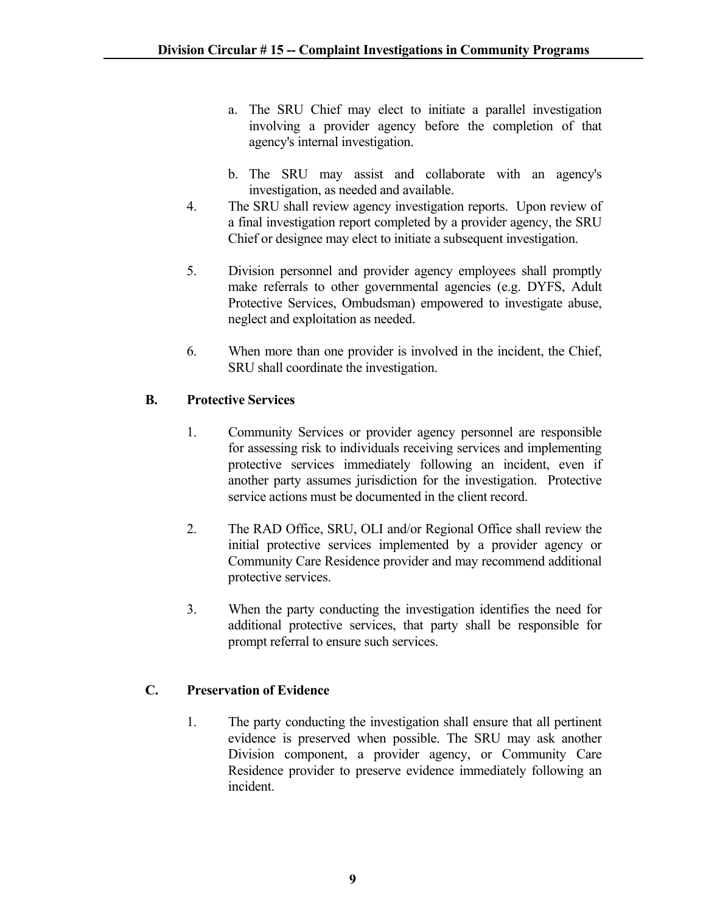- a. The SRU Chief may elect to initiate a parallel investigation involving a provider agency before the completion of that agency's internal investigation.
- b. The SRU may assist and collaborate with an agency's investigation, as needed and available.
- 4. The SRU shall review agency investigation reports. Upon review of a final investigation report completed by a provider agency, the SRU Chief or designee may elect to initiate a subsequent investigation.
- 5. Division personnel and provider agency employees shall promptly make referrals to other governmental agencies (e.g. DYFS, Adult Protective Services, Ombudsman) empowered to investigate abuse, neglect and exploitation as needed.
- 6. When more than one provider is involved in the incident, the Chief, SRU shall coordinate the investigation.

### **B. Protective Services**

- 1. Community Services or provider agency personnel are responsible for assessing risk to individuals receiving services and implementing protective services immediately following an incident, even if another party assumes jurisdiction for the investigation. Protective service actions must be documented in the client record.
- 2. The RAD Office, SRU, OLI and/or Regional Office shall review the initial protective services implemented by a provider agency or Community Care Residence provider and may recommend additional protective services.
- 3. When the party conducting the investigation identifies the need for additional protective services, that party shall be responsible for prompt referral to ensure such services.

### **C. Preservation of Evidence**

1. The party conducting the investigation shall ensure that all pertinent evidence is preserved when possible. The SRU may ask another Division component, a provider agency, or Community Care Residence provider to preserve evidence immediately following an incident.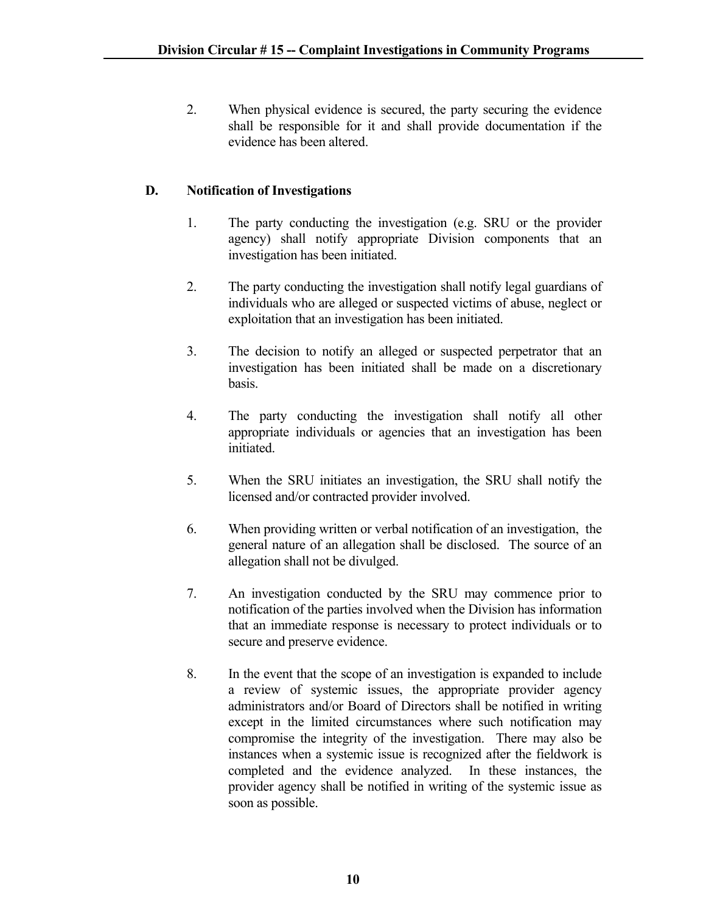2. When physical evidence is secured, the party securing the evidence shall be responsible for it and shall provide documentation if the evidence has been altered.

# **D. Notification of Investigations**

- 1. The party conducting the investigation (e.g. SRU or the provider agency) shall notify appropriate Division components that an investigation has been initiated.
- 2. The party conducting the investigation shall notify legal guardians of individuals who are alleged or suspected victims of abuse, neglect or exploitation that an investigation has been initiated.
- 3. The decision to notify an alleged or suspected perpetrator that an investigation has been initiated shall be made on a discretionary basis.
- 4. The party conducting the investigation shall notify all other appropriate individuals or agencies that an investigation has been initiated.
- 5. When the SRU initiates an investigation, the SRU shall notify the licensed and/or contracted provider involved.
- 6. When providing written or verbal notification of an investigation, the general nature of an allegation shall be disclosed. The source of an allegation shall not be divulged.
- 7. An investigation conducted by the SRU may commence prior to notification of the parties involved when the Division has information that an immediate response is necessary to protect individuals or to secure and preserve evidence.
- 8. In the event that the scope of an investigation is expanded to include a review of systemic issues, the appropriate provider agency administrators and/or Board of Directors shall be notified in writing except in the limited circumstances where such notification may compromise the integrity of the investigation. There may also be instances when a systemic issue is recognized after the fieldwork is completed and the evidence analyzed. In these instances, the provider agency shall be notified in writing of the systemic issue as soon as possible.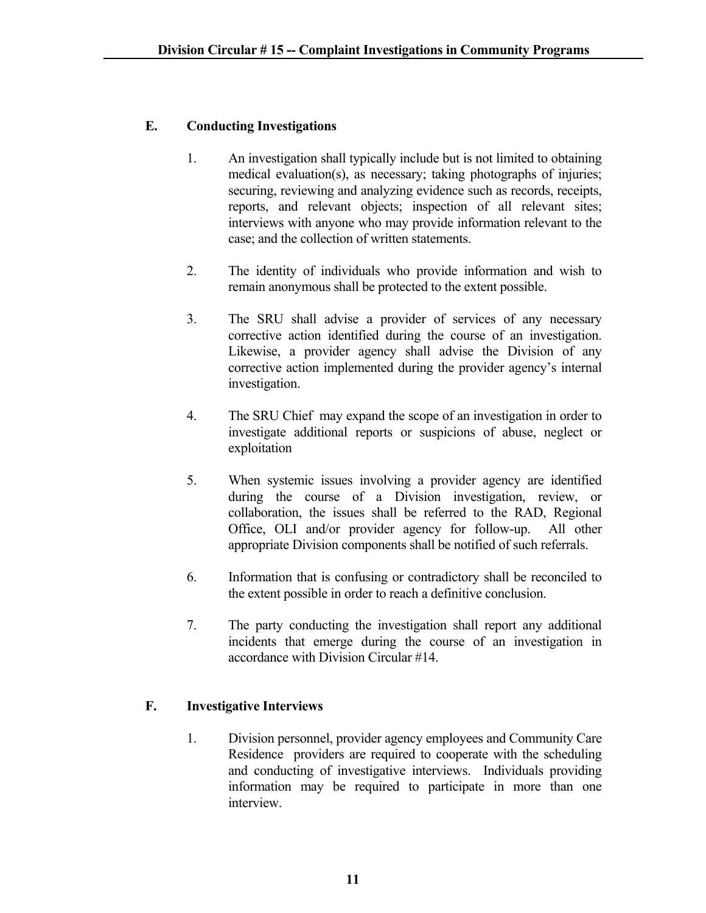# **E. Conducting Investigations**

- 1. An investigation shall typically include but is not limited to obtaining medical evaluation(s), as necessary; taking photographs of injuries; securing, reviewing and analyzing evidence such as records, receipts, reports, and relevant objects; inspection of all relevant sites; interviews with anyone who may provide information relevant to the case; and the collection of written statements.
- 2. The identity of individuals who provide information and wish to remain anonymous shall be protected to the extent possible.
- 3. The SRU shall advise a provider of services of any necessary corrective action identified during the course of an investigation. Likewise, a provider agency shall advise the Division of any corrective action implemented during the provider agency's internal investigation.
- 4. The SRU Chief may expand the scope of an investigation in order to investigate additional reports or suspicions of abuse, neglect or exploitation
- 5. When systemic issues involving a provider agency are identified during the course of a Division investigation, review, or collaboration, the issues shall be referred to the RAD, Regional Office, OLI and/or provider agency for follow-up. All other appropriate Division components shall be notified of such referrals.
- 6. Information that is confusing or contradictory shall be reconciled to the extent possible in order to reach a definitive conclusion.
- 7. The party conducting the investigation shall report any additional incidents that emerge during the course of an investigation in accordance with Division Circular #14.

# **F. Investigative Interviews**

1. Division personnel, provider agency employees and Community Care Residence providers are required to cooperate with the scheduling and conducting of investigative interviews. Individuals providing information may be required to participate in more than one interview.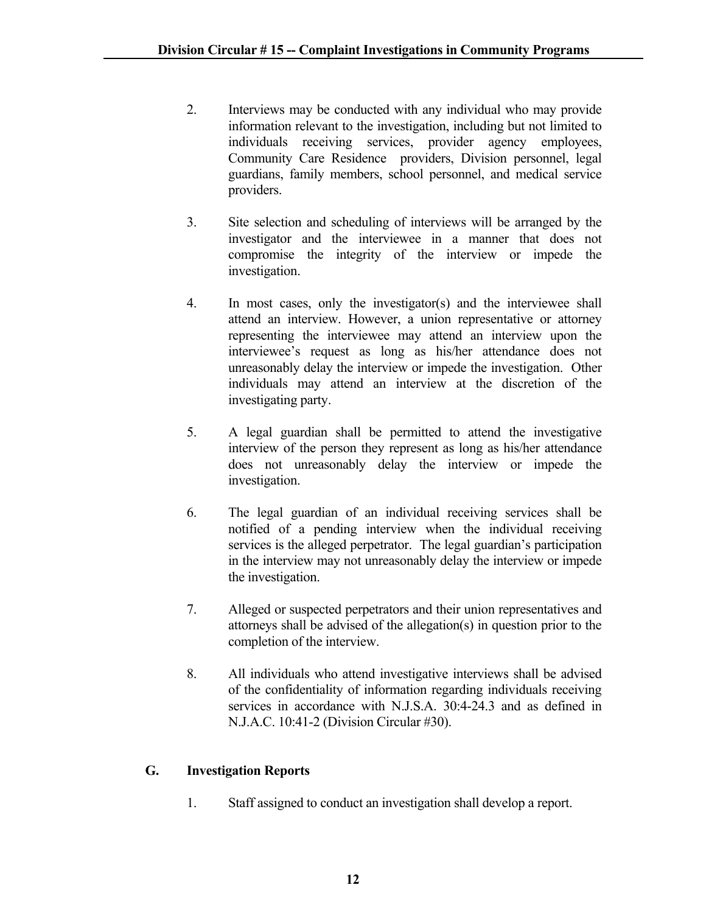- 2. Interviews may be conducted with any individual who may provide information relevant to the investigation, including but not limited to individuals receiving services, provider agency employees, Community Care Residence providers, Division personnel, legal guardians, family members, school personnel, and medical service providers.
- 3. Site selection and scheduling of interviews will be arranged by the investigator and the interviewee in a manner that does not compromise the integrity of the interview or impede the investigation.
- 4. In most cases, only the investigator(s) and the interviewee shall attend an interview. However, a union representative or attorney representing the interviewee may attend an interview upon the interviewee's request as long as his/her attendance does not unreasonably delay the interview or impede the investigation. Other individuals may attend an interview at the discretion of the investigating party.
- 5. A legal guardian shall be permitted to attend the investigative interview of the person they represent as long as his/her attendance does not unreasonably delay the interview or impede the investigation.
- 6. The legal guardian of an individual receiving services shall be notified of a pending interview when the individual receiving services is the alleged perpetrator. The legal guardian's participation in the interview may not unreasonably delay the interview or impede the investigation.
- 7. Alleged or suspected perpetrators and their union representatives and attorneys shall be advised of the allegation(s) in question prior to the completion of the interview.
- 8. All individuals who attend investigative interviews shall be advised of the confidentiality of information regarding individuals receiving services in accordance with N.J.S.A. 30:4-24.3 and as defined in N.J.A.C. 10:41-2 (Division Circular #30).

# **G. Investigation Reports**

1. Staff assigned to conduct an investigation shall develop a report.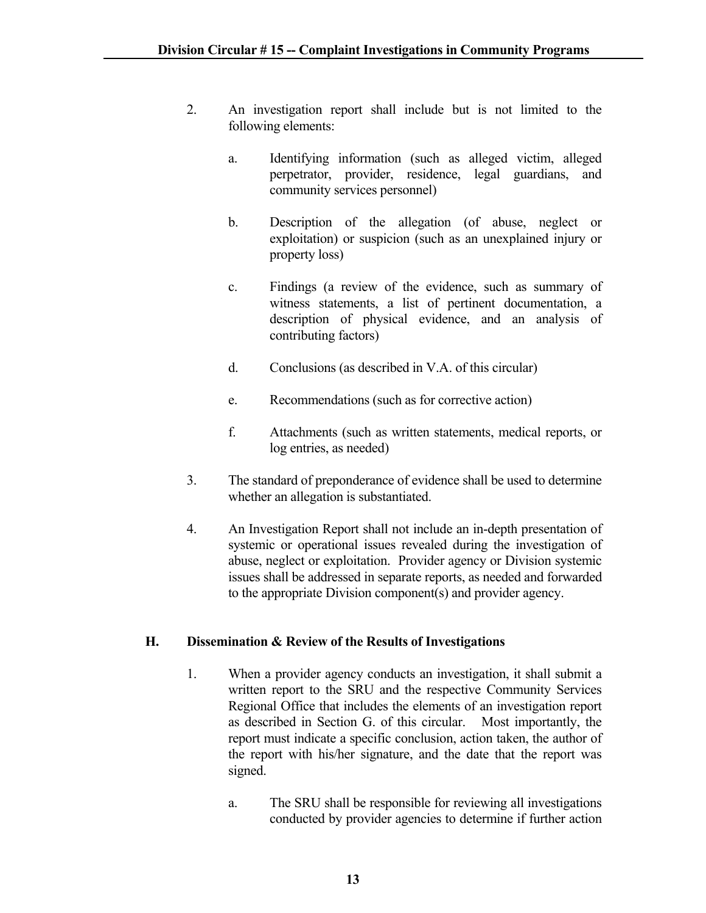- 2. An investigation report shall include but is not limited to the following elements:
	- a. Identifying information (such as alleged victim, alleged perpetrator, provider, residence, legal guardians, and community services personnel)
	- b. Description of the allegation (of abuse, neglect or exploitation) or suspicion (such as an unexplained injury or property loss)
	- c. Findings (a review of the evidence, such as summary of witness statements, a list of pertinent documentation, a description of physical evidence, and an analysis of contributing factors)
	- d. Conclusions (as described in V.A. of this circular)
	- e. Recommendations (such as for corrective action)
	- f. Attachments (such as written statements, medical reports, or log entries, as needed)
- 3. The standard of preponderance of evidence shall be used to determine whether an allegation is substantiated.
- 4. An Investigation Report shall not include an in-depth presentation of systemic or operational issues revealed during the investigation of abuse, neglect or exploitation. Provider agency or Division systemic issues shall be addressed in separate reports, as needed and forwarded to the appropriate Division component(s) and provider agency.

# **H. Dissemination & Review of the Results of Investigations**

- 1. When a provider agency conducts an investigation, it shall submit a written report to the SRU and the respective Community Services Regional Office that includes the elements of an investigation report as described in Section G. of this circular. Most importantly, the report must indicate a specific conclusion, action taken, the author of the report with his/her signature, and the date that the report was signed.
	- a. The SRU shall be responsible for reviewing all investigations conducted by provider agencies to determine if further action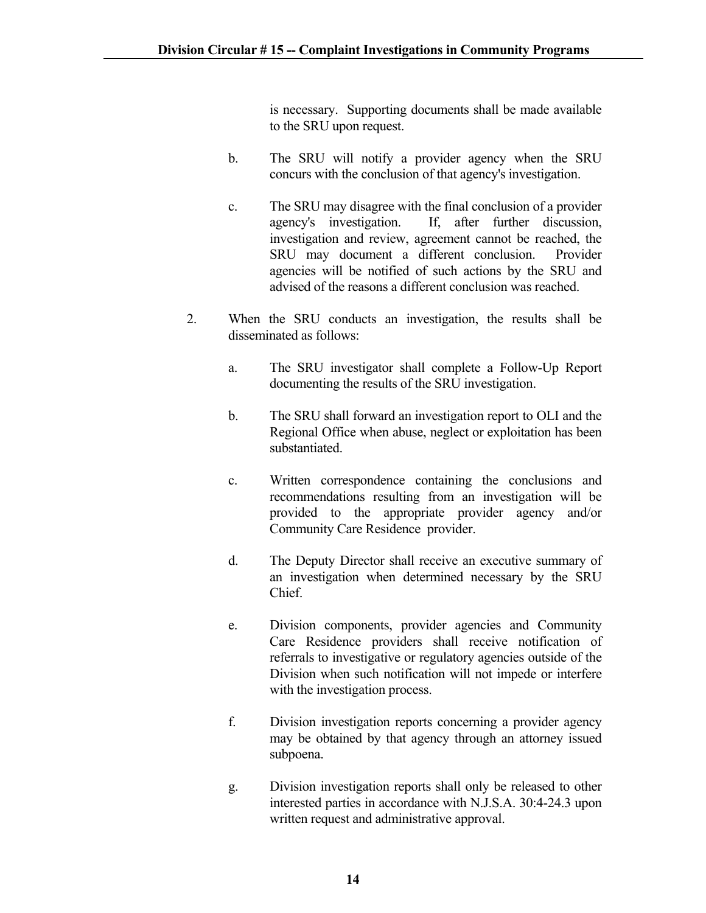is necessary. Supporting documents shall be made available to the SRU upon request.

- b. The SRU will notify a provider agency when the SRU concurs with the conclusion of that agency's investigation.
- c. The SRU may disagree with the final conclusion of a provider agency's investigation. If, after further discussion, investigation and review, agreement cannot be reached, the SRU may document a different conclusion. Provider agencies will be notified of such actions by the SRU and advised of the reasons a different conclusion was reached.
- 2. When the SRU conducts an investigation, the results shall be disseminated as follows:
	- a. The SRU investigator shall complete a Follow-Up Report documenting the results of the SRU investigation.
	- b. The SRU shall forward an investigation report to OLI and the Regional Office when abuse, neglect or exploitation has been substantiated.
	- c. Written correspondence containing the conclusions and recommendations resulting from an investigation will be provided to the appropriate provider agency and/or Community Care Residence provider.
	- d. The Deputy Director shall receive an executive summary of an investigation when determined necessary by the SRU Chief.
	- e. Division components, provider agencies and Community Care Residence providers shall receive notification of referrals to investigative or regulatory agencies outside of the Division when such notification will not impede or interfere with the investigation process.
	- f. Division investigation reports concerning a provider agency may be obtained by that agency through an attorney issued subpoena.
	- g. Division investigation reports shall only be released to other interested parties in accordance with N.J.S.A. 30:4-24.3 upon written request and administrative approval.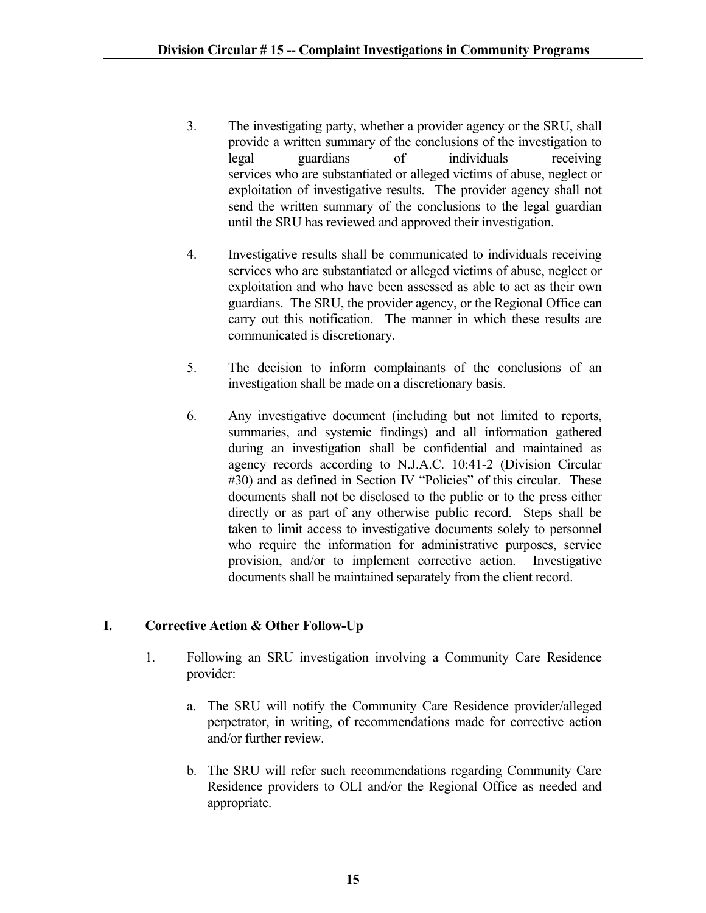- 3. The investigating party, whether a provider agency or the SRU, shall provide a written summary of the conclusions of the investigation to legal guardians of individuals receiving services who are substantiated or alleged victims of abuse, neglect or exploitation of investigative results. The provider agency shall not send the written summary of the conclusions to the legal guardian until the SRU has reviewed and approved their investigation.
- 4. Investigative results shall be communicated to individuals receiving services who are substantiated or alleged victims of abuse, neglect or exploitation and who have been assessed as able to act as their own guardians. The SRU, the provider agency, or the Regional Office can carry out this notification. The manner in which these results are communicated is discretionary.
- 5. The decision to inform complainants of the conclusions of an investigation shall be made on a discretionary basis.
- 6. Any investigative document (including but not limited to reports, summaries, and systemic findings) and all information gathered during an investigation shall be confidential and maintained as agency records according to N.J.A.C. 10:41-2 (Division Circular #30) and as defined in Section IV "Policies" of this circular. These documents shall not be disclosed to the public or to the press either directly or as part of any otherwise public record. Steps shall be taken to limit access to investigative documents solely to personnel who require the information for administrative purposes, service provision, and/or to implement corrective action. Investigative documents shall be maintained separately from the client record.

# **I. Corrective Action & Other Follow-Up**

- 1. Following an SRU investigation involving a Community Care Residence provider:
	- a. The SRU will notify the Community Care Residence provider/alleged perpetrator, in writing, of recommendations made for corrective action and/or further review.
	- b. The SRU will refer such recommendations regarding Community Care Residence providers to OLI and/or the Regional Office as needed and appropriate.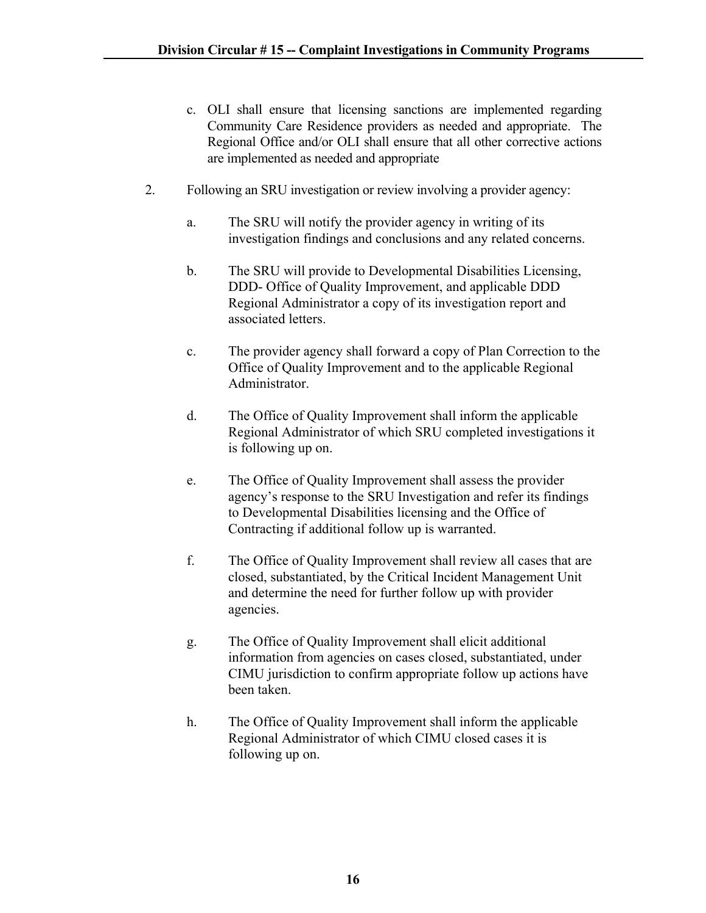- c. OLI shall ensure that licensing sanctions are implemented regarding Community Care Residence providers as needed and appropriate. The Regional Office and/or OLI shall ensure that all other corrective actions are implemented as needed and appropriate
- 2. Following an SRU investigation or review involving a provider agency:
	- a. The SRU will notify the provider agency in writing of its investigation findings and conclusions and any related concerns.
	- b. The SRU will provide to Developmental Disabilities Licensing, DDD- Office of Quality Improvement, and applicable DDD Regional Administrator a copy of its investigation report and associated letters.
	- c. The provider agency shall forward a copy of Plan Correction to the Office of Quality Improvement and to the applicable Regional Administrator.
	- d. The Office of Quality Improvement shall inform the applicable Regional Administrator of which SRU completed investigations it is following up on.
	- e. The Office of Quality Improvement shall assess the provider agency's response to the SRU Investigation and refer its findings to Developmental Disabilities licensing and the Office of Contracting if additional follow up is warranted.
	- f. The Office of Quality Improvement shall review all cases that are closed, substantiated, by the Critical Incident Management Unit and determine the need for further follow up with provider agencies.
	- g. The Office of Quality Improvement shall elicit additional information from agencies on cases closed, substantiated, under CIMU jurisdiction to confirm appropriate follow up actions have been taken.
	- h. The Office of Quality Improvement shall inform the applicable Regional Administrator of which CIMU closed cases it is following up on.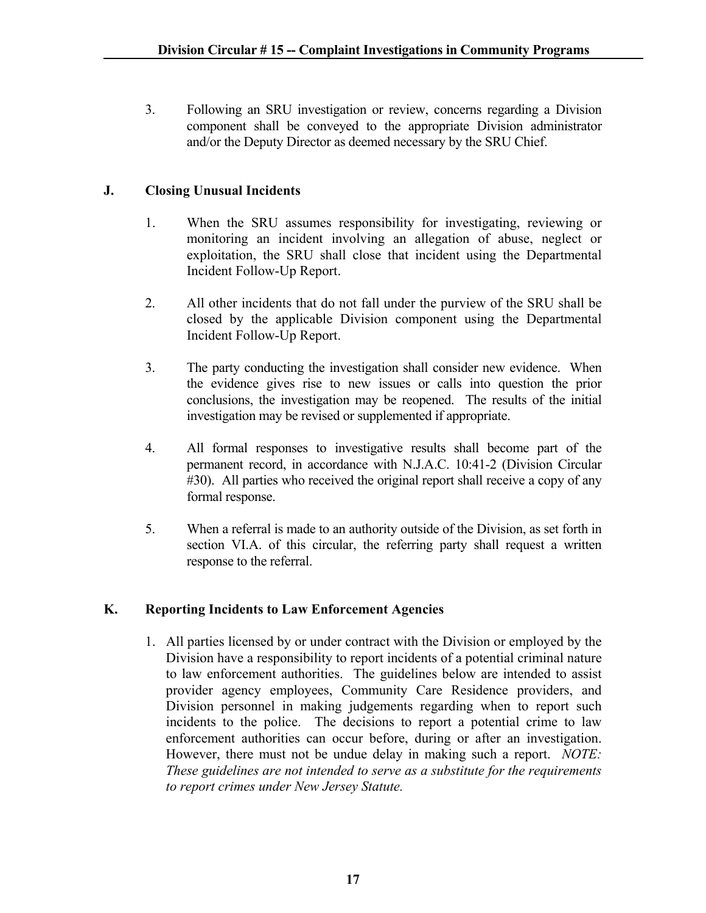3. Following an SRU investigation or review, concerns regarding a Division component shall be conveyed to the appropriate Division administrator and/or the Deputy Director as deemed necessary by the SRU Chief.

# **J. Closing Unusual Incidents**

- 1. When the SRU assumes responsibility for investigating, reviewing or monitoring an incident involving an allegation of abuse, neglect or exploitation, the SRU shall close that incident using the Departmental Incident Follow-Up Report.
- 2. All other incidents that do not fall under the purview of the SRU shall be closed by the applicable Division component using the Departmental Incident Follow-Up Report.
- 3. The party conducting the investigation shall consider new evidence. When the evidence gives rise to new issues or calls into question the prior conclusions, the investigation may be reopened. The results of the initial investigation may be revised or supplemented if appropriate.
- 4. All formal responses to investigative results shall become part of the permanent record, in accordance with N.J.A.C. 10:41-2 (Division Circular #30). All parties who received the original report shall receive a copy of any formal response.
- 5. When a referral is made to an authority outside of the Division, as set forth in section VI.A. of this circular, the referring party shall request a written response to the referral.

### **K. Reporting Incidents to Law Enforcement Agencies**

1. All parties licensed by or under contract with the Division or employed by the Division have a responsibility to report incidents of a potential criminal nature to law enforcement authorities. The guidelines below are intended to assist provider agency employees, Community Care Residence providers, and Division personnel in making judgements regarding when to report such incidents to the police. The decisions to report a potential crime to law enforcement authorities can occur before, during or after an investigation. However, there must not be undue delay in making such a report. *NOTE: These guidelines are not intended to serve as a substitute for the requirements to report crimes under New Jersey Statute.*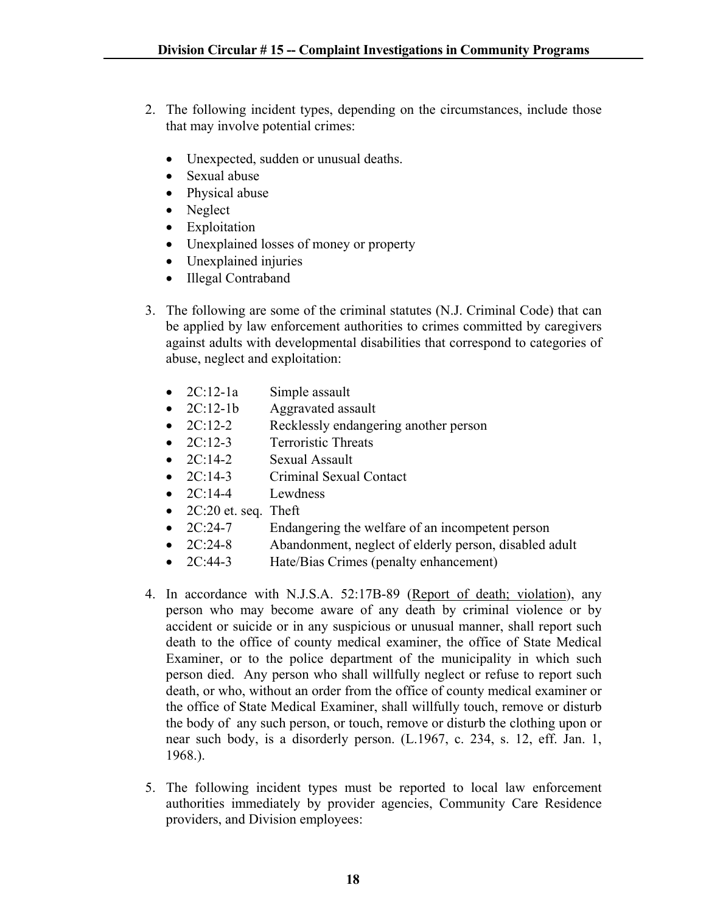- 2. The following incident types, depending on the circumstances, include those that may involve potential crimes:
	- Unexpected, sudden or unusual deaths.
	- Sexual abuse
	- Physical abuse
	- Neglect
	- Exploitation
	- Unexplained losses of money or property
	- Unexplained injuries
	- Illegal Contraband
- 3. The following are some of the criminal statutes (N.J. Criminal Code) that can be applied by law enforcement authorities to crimes committed by caregivers against adults with developmental disabilities that correspond to categories of abuse, neglect and exploitation:
	- 2C:12-1a Simple assault
	- 2C:12-1b Aggravated assault
	- 2C:12-2 Recklessly endangering another person
	- 2C:12-3 Terroristic Threats
	- 2C:14-2 Sexual Assault
	- 2C:14-3 Criminal Sexual Contact
	- $\bullet$  2C:14-4 Lewdness
	- $\bullet$  2C:20 et. seq. Theft
	- 2C:24-7 Endangering the welfare of an incompetent person
	- 2C:24-8 Abandonment, neglect of elderly person, disabled adult
	- 2C:44-3 Hate/Bias Crimes (penalty enhancement)
- 4. In accordance with N.J.S.A. 52:17B-89 (Report of death; violation), any person who may become aware of any death by criminal violence or by accident or suicide or in any suspicious or unusual manner, shall report such death to the office of county medical examiner, the office of State Medical Examiner, or to the police department of the municipality in which such person died. Any person who shall willfully neglect or refuse to report such death, or who, without an order from the office of county medical examiner or the office of State Medical Examiner, shall willfully touch, remove or disturb the body of any such person, or touch, remove or disturb the clothing upon or near such body, is a disorderly person. (L.1967, c. 234, s. 12, eff. Jan. 1, 1968.).
- 5. The following incident types must be reported to local law enforcement authorities immediately by provider agencies, Community Care Residence providers, and Division employees: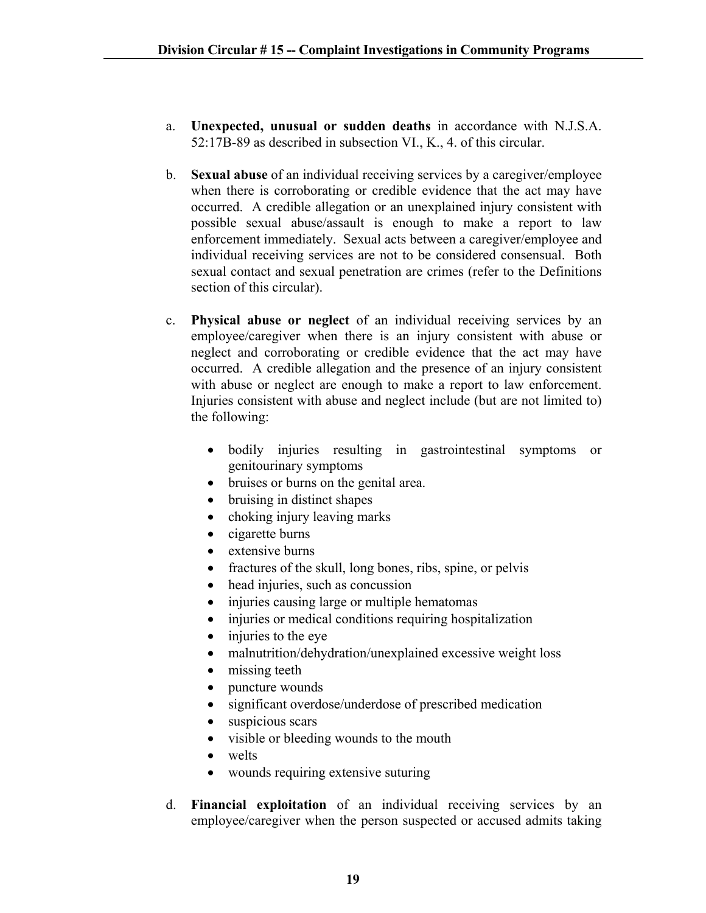- a. **Unexpected, unusual or sudden deaths** in accordance with N.J.S.A. 52:17B-89 as described in subsection VI., K., 4. of this circular.
- b. **Sexual abuse** of an individual receiving services by a caregiver/employee when there is corroborating or credible evidence that the act may have occurred. A credible allegation or an unexplained injury consistent with possible sexual abuse/assault is enough to make a report to law enforcement immediately. Sexual acts between a caregiver/employee and individual receiving services are not to be considered consensual. Both sexual contact and sexual penetration are crimes (refer to the Definitions section of this circular).
- c. **Physical abuse or neglect** of an individual receiving services by an employee/caregiver when there is an injury consistent with abuse or neglect and corroborating or credible evidence that the act may have occurred. A credible allegation and the presence of an injury consistent with abuse or neglect are enough to make a report to law enforcement. Injuries consistent with abuse and neglect include (but are not limited to) the following:
	- bodily injuries resulting in gastrointestinal symptoms or genitourinary symptoms
	- bruises or burns on the genital area.
	- bruising in distinct shapes
	- choking injury leaving marks
	- cigarette burns
	- extensive burns
	- fractures of the skull, long bones, ribs, spine, or pelvis
	- head injuries, such as concussion
	- injuries causing large or multiple hematomas
	- injuries or medical conditions requiring hospitalization
	- injuries to the eye
	- malnutrition/dehydration/unexplained excessive weight loss
	- missing teeth
	- puncture wounds
	- significant overdose/underdose of prescribed medication
	- suspicious scars
	- visible or bleeding wounds to the mouth
	- welts
	- wounds requiring extensive suturing
- d. **Financial exploitation** of an individual receiving services by an employee/caregiver when the person suspected or accused admits taking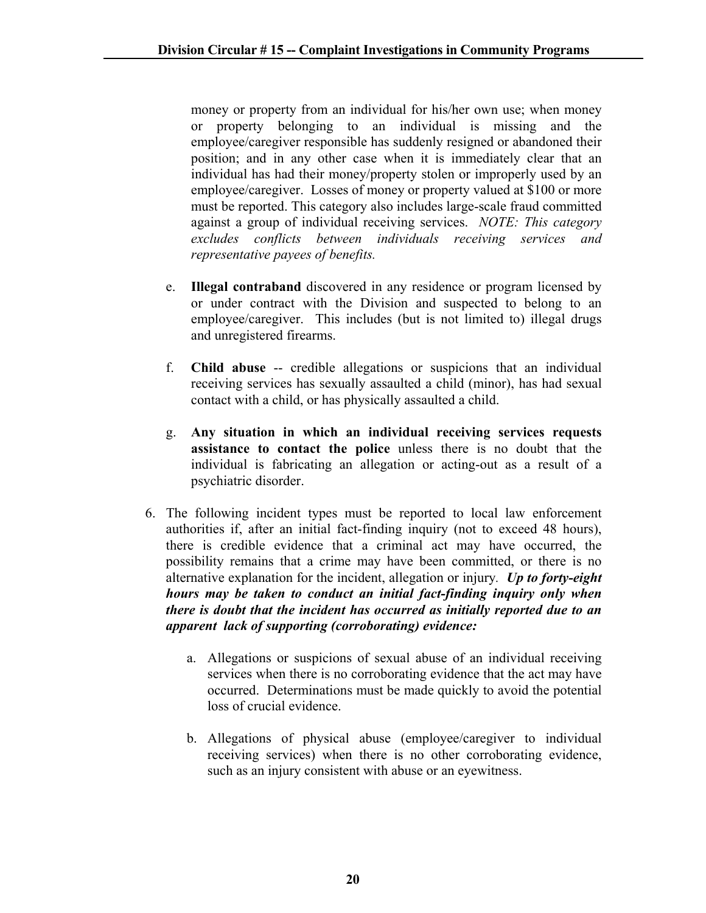money or property from an individual for his/her own use; when money or property belonging to an individual is missing and the employee/caregiver responsible has suddenly resigned or abandoned their position; and in any other case when it is immediately clear that an individual has had their money/property stolen or improperly used by an employee/caregiver. Losses of money or property valued at \$100 or more must be reported. This category also includes large-scale fraud committed against a group of individual receiving services. *NOTE: This category excludes conflicts between individuals receiving services and representative payees of benefits.*

- e. **Illegal contraband** discovered in any residence or program licensed by or under contract with the Division and suspected to belong to an employee/caregiver. This includes (but is not limited to) illegal drugs and unregistered firearms.
- f. **Child abuse** -- credible allegations or suspicions that an individual receiving services has sexually assaulted a child (minor), has had sexual contact with a child, or has physically assaulted a child.
- g. **Any situation in which an individual receiving services requests assistance to contact the police** unless there is no doubt that the individual is fabricating an allegation or acting-out as a result of a psychiatric disorder.
- 6. The following incident types must be reported to local law enforcement authorities if, after an initial fact-finding inquiry (not to exceed 48 hours), there is credible evidence that a criminal act may have occurred, the possibility remains that a crime may have been committed, or there is no alternative explanation for the incident, allegation or injury*. Up to forty-eight hours may be taken to conduct an initial fact-finding inquiry only when there is doubt that the incident has occurred as initially reported due to an apparent lack of supporting (corroborating) evidence:*
	- a. Allegations or suspicions of sexual abuse of an individual receiving services when there is no corroborating evidence that the act may have occurred. Determinations must be made quickly to avoid the potential loss of crucial evidence.
	- b. Allegations of physical abuse (employee/caregiver to individual receiving services) when there is no other corroborating evidence, such as an injury consistent with abuse or an eyewitness.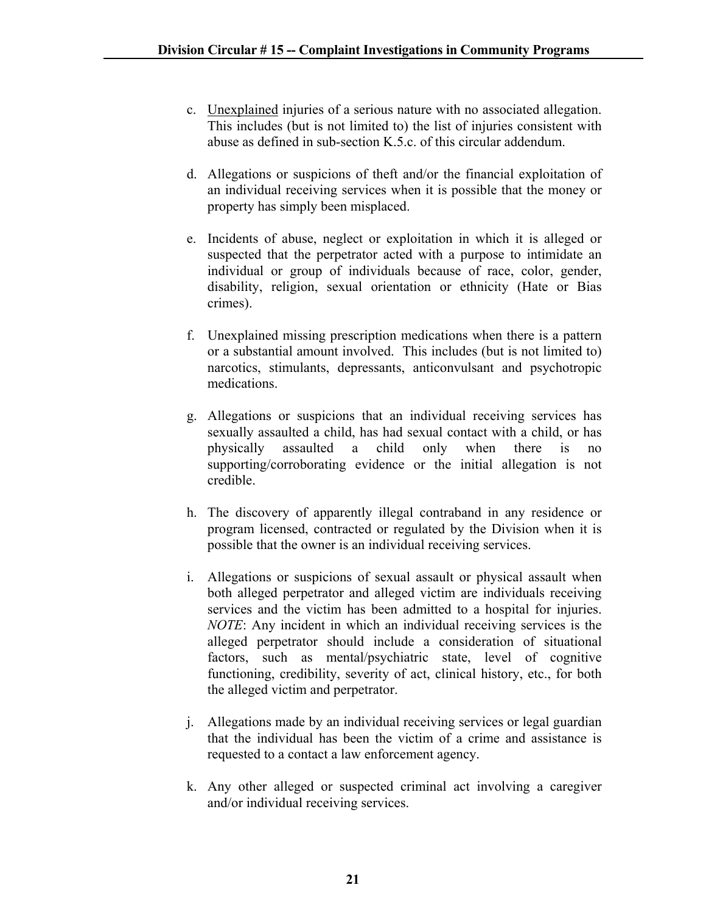- c. Unexplained injuries of a serious nature with no associated allegation. This includes (but is not limited to) the list of injuries consistent with abuse as defined in sub-section K.5.c. of this circular addendum.
- d. Allegations or suspicions of theft and/or the financial exploitation of an individual receiving services when it is possible that the money or property has simply been misplaced.
- e. Incidents of abuse, neglect or exploitation in which it is alleged or suspected that the perpetrator acted with a purpose to intimidate an individual or group of individuals because of race, color, gender, disability, religion, sexual orientation or ethnicity (Hate or Bias crimes).
- f. Unexplained missing prescription medications when there is a pattern or a substantial amount involved. This includes (but is not limited to) narcotics, stimulants, depressants, anticonvulsant and psychotropic medications.
- g. Allegations or suspicions that an individual receiving services has sexually assaulted a child, has had sexual contact with a child, or has physically assaulted a child only when there is no supporting/corroborating evidence or the initial allegation is not credible.
- h. The discovery of apparently illegal contraband in any residence or program licensed, contracted or regulated by the Division when it is possible that the owner is an individual receiving services.
- i. Allegations or suspicions of sexual assault or physical assault when both alleged perpetrator and alleged victim are individuals receiving services and the victim has been admitted to a hospital for injuries. *NOTE*: Any incident in which an individual receiving services is the alleged perpetrator should include a consideration of situational factors, such as mental/psychiatric state, level of cognitive functioning, credibility, severity of act, clinical history, etc., for both the alleged victim and perpetrator.
- j. Allegations made by an individual receiving services or legal guardian that the individual has been the victim of a crime and assistance is requested to a contact a law enforcement agency.
- k. Any other alleged or suspected criminal act involving a caregiver and/or individual receiving services.